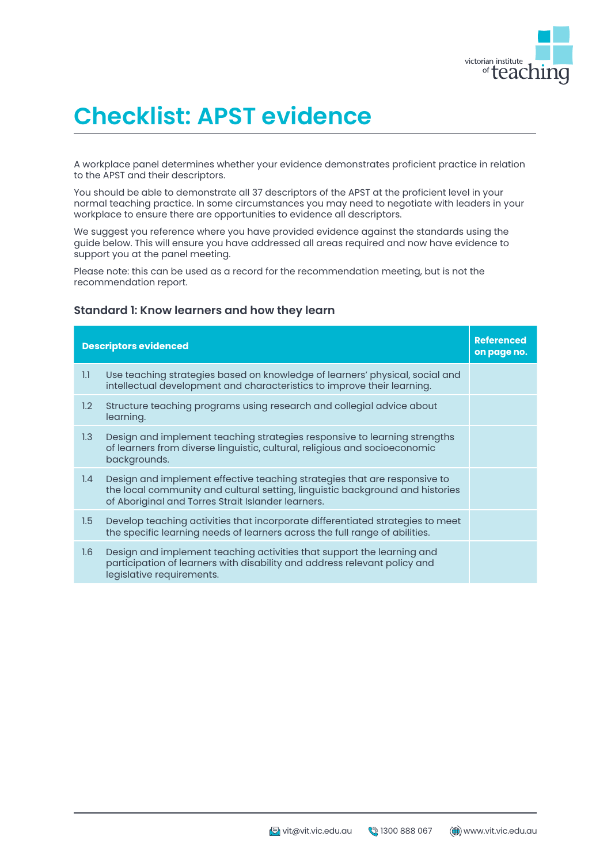

# **Checklist: APST evidence**

A workplace panel determines whether your evidence demonstrates proficient practice in relation to the APST and their descriptors.

You should be able to demonstrate all 37 descriptors of the APST at the proficient level in your normal teaching practice. In some circumstances you may need to negotiate with leaders in your workplace to ensure there are opportunities to evidence all descriptors.

We suggest you reference where you have provided evidence against the standards using the guide below. This will ensure you have addressed all areas required and now have evidence to support you at the panel meeting.

Please note: this can be used as a record for the recommendation meeting, but is not the recommendation report.

#### **Descriptors evidenced and a set of the contract of the contract of the contract of the contract of the contract of the contract of the contract of the contract of the contract of the contract of the contract of the contra on page no.** 1.1 Use teaching strategies based on knowledge of learners' physical, social and intellectual development and characteristics to improve their learning. 1.2 Structure teaching programs using research and collegial advice about learning. 1.3 Design and implement teaching strategies responsive to learning strengths of learners from diverse linguistic, cultural, religious and socioeconomic backgrounds. 1.4 Design and implement effective teaching strategies that are responsive to the local community and cultural setting, linguistic background and histories of Aboriginal and Torres Strait Islander learners. 1.5 Develop teaching activities that incorporate differentiated strategies to meet the specific learning needs of learners across the full range of abilities. 1.6 Design and implement teaching activities that support the learning and participation of learners with disability and address relevant policy and legislative requirements.

#### **Standard 1: Know learners and how they learn**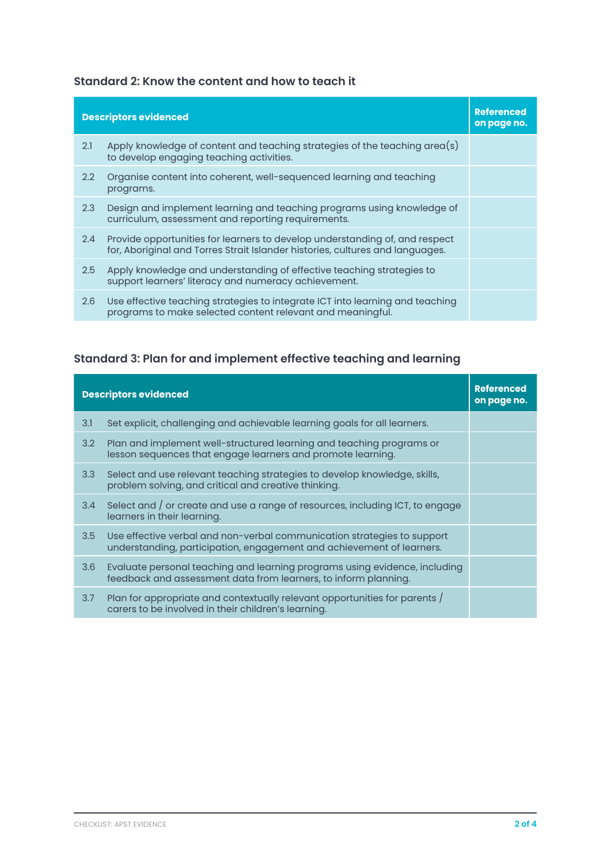#### **Standard 2: Know the content and how to teach it**

| <b>Descriptors evidenced</b> |                                                                                                                                                              | <b>Referenced</b><br>on page no. |
|------------------------------|--------------------------------------------------------------------------------------------------------------------------------------------------------------|----------------------------------|
| 2.1                          | Apply knowledge of content and teaching strategies of the teaching $area(s)$<br>to develop engaging teaching activities.                                     |                                  |
| $2.2\phantom{0}$             | Organise content into coherent, well-sequenced learning and teaching<br>programs.                                                                            |                                  |
| 2.3                          | Design and implement learning and teaching programs using knowledge of<br>curriculum, assessment and reporting requirements.                                 |                                  |
| 2.4                          | Provide opportunities for learners to develop understanding of, and respect<br>for, Aboriginal and Torres Strait Islander histories, cultures and languages. |                                  |
| 2.5                          | Apply knowledge and understanding of effective teaching strategies to<br>support learners' literacy and numeracy achievement.                                |                                  |
| 2.6                          | Use effective teaching strategies to integrate ICT into learning and teaching<br>programs to make selected content relevant and meaningful.                  |                                  |

## **Standard 3: Plan for and implement effective teaching and learning**

| <b>Descriptors evidenced</b> |                                                                                                                                                  | <b>Referenced</b><br>on page no. |
|------------------------------|--------------------------------------------------------------------------------------------------------------------------------------------------|----------------------------------|
| 3.1                          | Set explicit, challenging and achievable learning goals for all learners.                                                                        |                                  |
| 3.2                          | Plan and implement well-structured learning and teaching programs or<br>lesson sequences that engage learners and promote learning.              |                                  |
| 3.3                          | Select and use relevant teaching strategies to develop knowledge, skills,<br>problem solving, and critical and creative thinking.                |                                  |
| 3.4                          | Select and / or create and use a range of resources, including ICT, to engage<br>learners in their learning.                                     |                                  |
| 3.5                          | Use effective verbal and non-verbal communication strategies to support<br>understanding, participation, engagement and achievement of learners. |                                  |
| 3.6                          | Evaluate personal teaching and learning programs using evidence, including<br>feedback and assessment data from learners, to inform planning.    |                                  |
| 3.7                          | Plan for appropriate and contextually relevant opportunities for parents /<br>carers to be involved in their children's learning.                |                                  |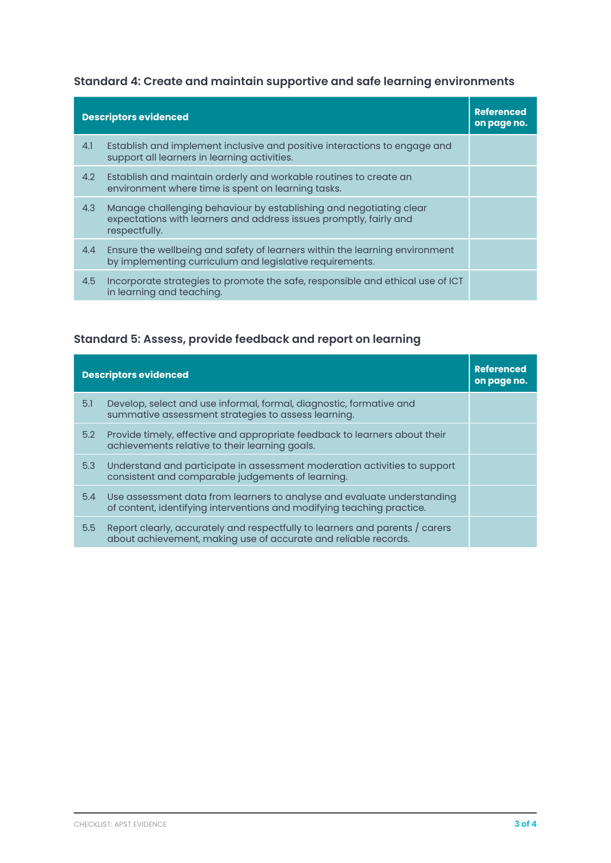## **Standard 4: Create and maintain supportive and safe learning environments**

|     | <b>Descriptors evidenced</b>                                                                                                                              | <b>Referenced</b><br>on page no. |
|-----|-----------------------------------------------------------------------------------------------------------------------------------------------------------|----------------------------------|
| 4.1 | Establish and implement inclusive and positive interactions to engage and<br>support all learners in learning activities.                                 |                                  |
| 4.2 | Establish and maintain orderly and workable routines to create an<br>environment where time is spent on learning tasks.                                   |                                  |
| 4.3 | Manage challenging behaviour by establishing and negotiating clear<br>expectations with learners and address issues promptly, fairly and<br>respectfully. |                                  |
| 4.4 | Ensure the wellbeing and safety of learners within the learning environment<br>by implementing curriculum and legislative requirements.                   |                                  |
| 4.5 | Incorporate strategies to promote the safe, responsible and ethical use of ICT<br>in learning and teaching.                                               |                                  |

## **Standard 5: Assess, provide feedback and report on learning**

| <b>Descriptors evidenced</b> |                                                                                                                                                   | <b>Referenced</b><br>on page no. |
|------------------------------|---------------------------------------------------------------------------------------------------------------------------------------------------|----------------------------------|
| 5.1                          | Develop, select and use informal, formal, diagnostic, formative and<br>summative assessment strategies to assess learning.                        |                                  |
| 5.2                          | Provide timely, effective and appropriate feedback to learners about their<br>achievements relative to their learning goals.                      |                                  |
| 5.3                          | Understand and participate in assessment moderation activities to support<br>consistent and comparable judgements of learning.                    |                                  |
| 5.4                          | Use assessment data from learners to analyse and evaluate understanding<br>of content, identifying interventions and modifying teaching practice. |                                  |
| 5.5                          | Report clearly, accurately and respectfully to learners and parents / carers<br>about achievement, making use of accurate and reliable records.   |                                  |